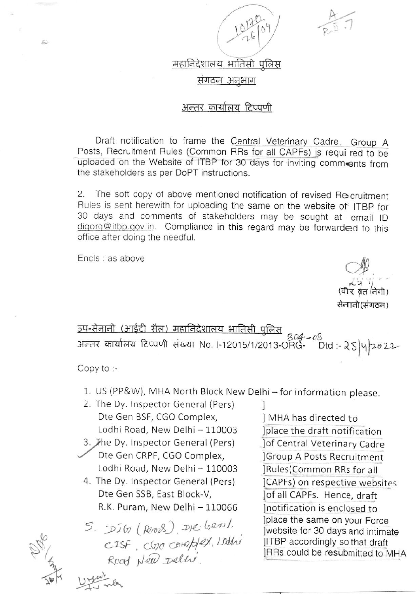

महानिदेशालय, भातिसी पुलिस

संगठन अनुभाग

# अन्तर कार्यालय टिप्पणी

Draft notification to frame the Central Veterinary Cadre, Group A Posts, Recruitment Rules (Common RRs for all CAPFs) is requi red to be uploaded on the Website of ITBP for 30 days for inviting comments from the stakeholders as per DoPT instructions.

The soft copy of above mentioned notification of revised Recruitment  $2.$ Rules is sent herewith for uploading the same on the website of ITBP for 30 days and comments of stakeholders may be sought at email ID digorg@itbp.gov.in. Compliance in this regard may be forwarded to this office after doing the needful.

Encls : as above

£

सेनानी(संगठन)

<u>उप-सेनानी (आईटी सैल) महानिदेशालय भातिसी पुलिस</u> अन्तर कार्यालय टिप्पणी संख्या No. I-12015/1/2013-ORG- $Dtd:25|y|2022$ 

Copy to :-

- 1. US (PP&W), MHA North Block New Delhi for information please.
- 2. The Dy. Inspector General (Pers) Dte Gen BSF, CGO Complex, Lodhi Road, New Delhi - 110003
- 3. The Dy. Inspector General (Pers) Dte Gen CRPF, CGO Complex,
- Lodhi Road, New Delhi 110003 4. The Dy. Inspector General (Pers)

Dte Gen SSB, East Block-V, R.K. Puram, New Delhi - 110066

5. DIG (Rood), DK benl.<br>CISF, CGO COMP/EX, LOOKO

1 MHA has directed to Iplace the draft notification Jof Central Veterinary Cadre Group A Posts Recruitment **Rules** (Common RRs for all ]CAPFs) on respective websites lof all CAPFs. Hence, draft Inotification is enclosed to Jplace the same on your Force website for 30 days and intimate JITBP accordingly so that draft JRRs could be resubmitted to MHA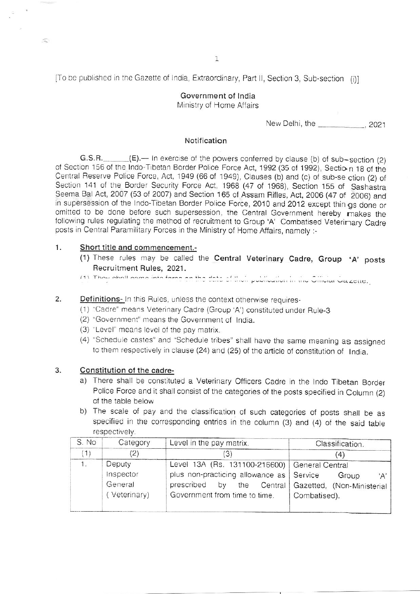[To be published in the Gazette of India, Extraordinary, Part II, Section 3, Sub-section (i)]

# Government of India Ministry of Home Affairs

New Delhi, the \_\_\_\_\_\_\_\_\_\_\_\_\_, 2021

### Notification

 $(E)$ . In exercise of the powers conferred by clause (b) of sub-section (2)  $G.S.R.$ of Section 156 of the Indo-Tibetan Border Police Force Act, 1992 (35 of 1992), Section 18 of the Central Reserve Police Force, Act, 1949 (66 of 1949), Clauses (b) and (c) of sub-se ction (2) of Section 141 of the Border Security Force Act, 1968 (47 of 1968), Section 155 of Sashastra Seema Bal Act, 2007 (53 of 2007) and Section 165 of Assam Rifles, Act, 2006 (47 of 2006) and in supersession of the Indo-Tibetan Border Police Force, 2010 and 2012 except thin gs done or omitted to be done before such supersession, the Central Government hereby makes the following rules regulating the method of recruitment to Group 'A' Combatised Veterimary Cadre posts in Central Paramilitary Forces in the Ministry of Home Affairs, namely :-

#### $1.$ Short title and commencement.-

 $\subset$ 

- (1) These rules may be called the Central Veterinary Cadre, Group 'A' posts Recruitment Rules, 2021.
- (1) Thou shall come into force on the data of their publication in the Official Gazette.

#### 2. **Definitions-** In this Rules, unless the context otherwise requires-

- (1) "Cadre" means Veterinary Cadre (Group 'A') constituted under Rule-3
- (2) "Government" means the Government of India.
- (3) "Level" means level of the pay matrix.
- (4) "Schedule castes" and "Schedule tribes" shall have the same meaning as assigned to them respectively in clause (24) and (25) of the article of constitution of India.

#### 3. Constitution of the cadre-

- a) There shall be constituted a Veterinary Officers Cadre in the Indo Tibetan Border Police Force and it shall consist of the categories of the posts specified in Column (2) of the table below
- b) The scale of pay and the classification of such categories of posts shall be as specified in the corresponding entries in the column (3) and (4) of the said table respectively.

| S. No | Category     | Level in the pay matrix.                        | Classification.                          |
|-------|--------------|-------------------------------------------------|------------------------------------------|
|       | $\mathbf{2}$ | '3)                                             | (4)                                      |
| 1.1   | Deputy       | Level 13A (Rs. 131100-216600)   General Central |                                          |
|       | Inspector    | plus non-practicing allowance as   Service      | Group<br>A'                              |
|       | General      | prescribed<br>by                                | the Central   Gazetted, (Non-Ministerial |
|       | Veterinary)  | Government from time to time.                   | Combatised).                             |
|       |              |                                                 |                                          |